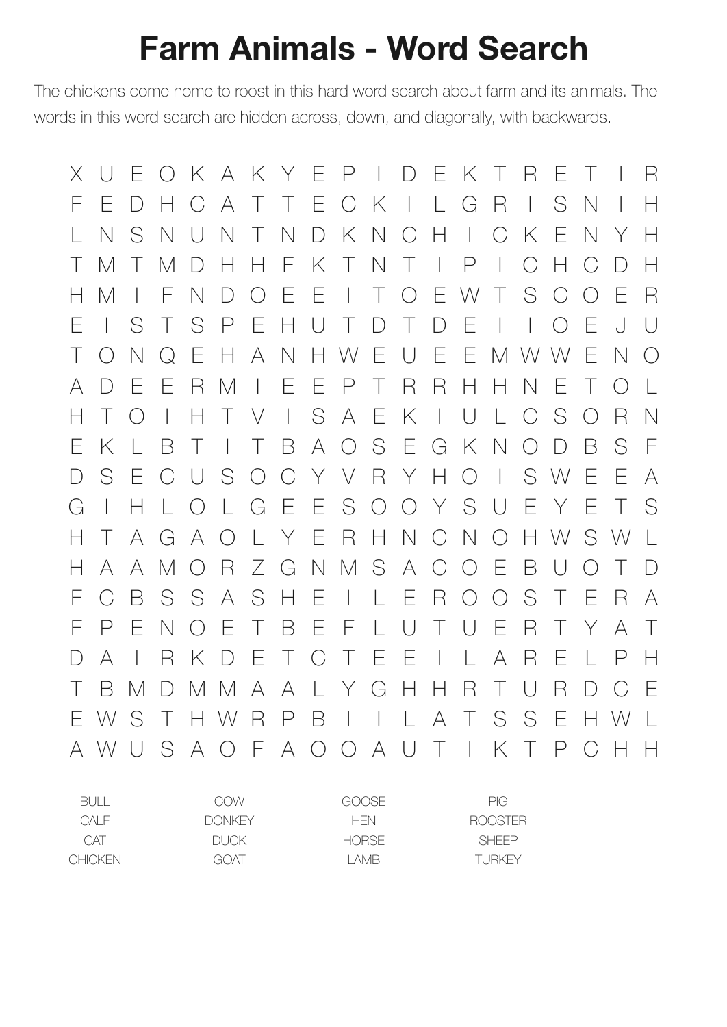## **Farm Animals - Word Search**

The chickens come home to roost in this hard word search about farm and its animals. The words in this word search are hidden across, down, and diagonally, with backwards.

X U E O K A K Y E P I D E K T R E T I R F E D H C A T T E C K I L G R I S N I H L N S N U N T N D K N C H I C K E N Y H T M T M D H H F K T N T I P I C H C D H H M I F N D O E E I T O E W T S C O E R E I S T S P E H U T D T D E I I O E J U T O N Q E H A N H W E U E E M W W E N O A D E E R M I E E P T R R H H N E T O L H T O I H T V I S A E K I U L C S O R N E K L B T I T B A O S E G K N O D B S F D S E C U S O C Y V R Y H O I S W E E A G I H L O L G E E S O O Y S U E Y E T S H T A G A O L Y E R H N C N O H W S W L H A A M O R Z G N M S A C O E B U O T D F C B S S A S H E I L E R O O S T E R A F P E N O E T B E F L U T U E R T Y A T D A I R K D E T C T E E I L A R E L P H T B M D M M A A L Y G H H R T U R D C E E W S T H W R P B I I L A T S S E H W L A W U S A O F A O O A U T I K T P C H H

| BULL.   | COW           | GOOSE        | PIG.           |
|---------|---------------|--------------|----------------|
| CAIF    | <b>DONKEY</b> | HFN.         | <b>ROOSTER</b> |
| CAT     | DUCK.         | <b>HORSE</b> | <b>SHFFP</b>   |
| CHICKEN | GOAT          | I AMB        | TURKEY         |